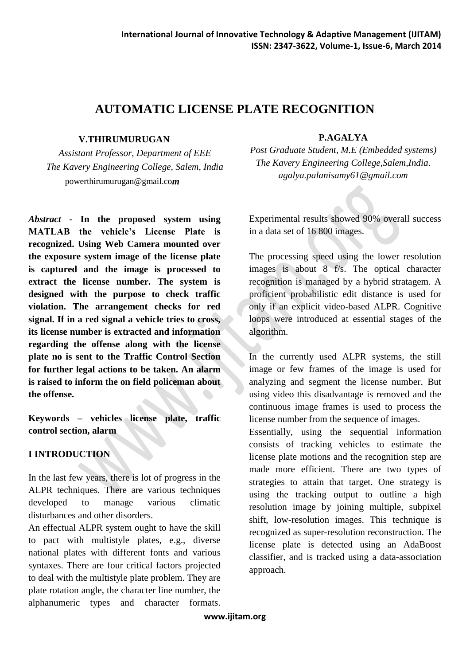# **AUTOMATIC LICENSE PLATE RECOGNITION**

#### **V.THIRUMURUGAN**

*Assistant Professor, Department of EEE The Kavery Engineering College, Salem, India* powerthirumurugan@gmail.co*m*

*Abstract* **- In the proposed system using MATLAB the vehicle's License Plate is recognized. Using Web Camera mounted over the exposure system image of the license plate is captured and the image is processed to extract the license number. The system is designed with the purpose to check traffic violation. The arrangement checks for red signal. If in a red signal a vehicle tries to cross, its license number is extracted and information regarding the offense along with the license plate no is sent to the Traffic Control Section for further legal actions to be taken. An alarm is raised to inform the on field policeman about the offense.**

**Keywords – vehicles license plate, traffic control section, alarm**

#### **I INTRODUCTION**

In the last few years, there is lot of progress in the ALPR techniques. There are various techniques developed to manage various climatic disturbances and other disorders.

An effectual ALPR system ought to have the skill to pact with multistyle plates, e.g., diverse national plates with different fonts and various syntaxes. There are four critical factors projected to deal with the multistyle plate problem. They are plate rotation angle, the character line number, the alphanumeric types and character formats.

#### **P.AGALYA**

*Post Graduate Student, M.E (Embedded systems) The Kavery Engineering College,Salem,India*. *[agalya.palanisamy61@gmail.com](mailto:agalya.palanisamy61@gmail.co)*

Experimental results showed 90% overall success in a data set of 16 800 images.

The processing speed using the lower resolution images is about 8 f/s. The optical character recognition is managed by a hybrid stratagem. A proficient probabilistic edit distance is used for only if an explicit video-based ALPR. Cognitive loops were introduced at essential stages of the algorithm.

In the currently used ALPR systems, the still image or few frames of the image is used for analyzing and segment the license number. But using video this disadvantage is removed and the continuous image frames is used to process the license number from the sequence of images.

Essentially, using the sequential information consists of tracking vehicles to estimate the license plate motions and the recognition step are made more efficient. There are two types of strategies to attain that target. One strategy is using the tracking output to outline a high resolution image by joining multiple, subpixel shift, low-resolution images. This technique is recognized as super-resolution reconstruction. The license plate is detected using an AdaBoost classifier, and is tracked using a data-association approach.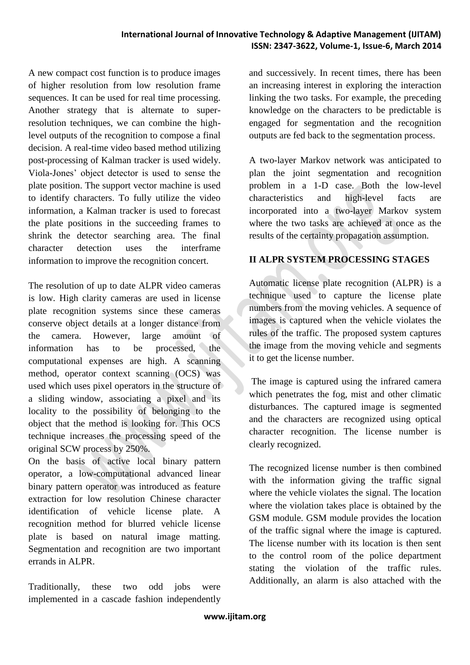A new compact cost function is to produce images of higher resolution from low resolution frame sequences. It can be used for real time processing. Another strategy that is alternate to superresolution techniques, we can combine the highlevel outputs of the recognition to compose a final decision. A real-time video based method utilizing post-processing of Kalman tracker is used widely. Viola-Jones" object detector is used to sense the plate position. The support vector machine is used to identify characters. To fully utilize the video information, a Kalman tracker is used to forecast the plate positions in the succeeding frames to shrink the detector searching area. The final character detection uses the interframe information to improve the recognition concert.

The resolution of up to date ALPR video cameras is low. High clarity cameras are used in license plate recognition systems since these cameras conserve object details at a longer distance from the camera. However, large amount of information has to be processed, the computational expenses are high. A scanning method, operator context scanning (OCS) was used which uses pixel operators in the structure of a sliding window, associating a pixel and its locality to the possibility of belonging to the object that the method is looking for. This OCS technique increases the processing speed of the original SCW process by 250%.

On the basis of active local binary pattern operator, a low-computational advanced linear binary pattern operator was introduced as feature extraction for low resolution Chinese character identification of vehicle license plate. A recognition method for blurred vehicle license plate is based on natural image matting. Segmentation and recognition are two important errands in ALPR.

Traditionally, these two odd jobs were implemented in a cascade fashion independently and successively. In recent times, there has been an increasing interest in exploring the interaction linking the two tasks. For example, the preceding knowledge on the characters to be predictable is engaged for segmentation and the recognition outputs are fed back to the segmentation process.

A two-layer Markov network was anticipated to plan the joint segmentation and recognition problem in a 1-D case. Both the low-level characteristics and high-level facts are incorporated into a two-layer Markov system where the two tasks are achieved at once as the results of the certainty propagation assumption.

## **II ALPR SYSTEM PROCESSING STAGES**

Automatic license plate recognition (ALPR) is a technique used to capture the license plate numbers from the moving vehicles. A sequence of images is captured when the vehicle violates the rules of the traffic. The proposed system captures the image from the moving vehicle and segments it to get the license number.

The image is captured using the infrared camera which penetrates the fog, mist and other climatic disturbances. The captured image is segmented and the characters are recognized using optical character recognition. The license number is clearly recognized.

The recognized license number is then combined with the information giving the traffic signal where the vehicle violates the signal. The location where the violation takes place is obtained by the GSM module. GSM module provides the location of the traffic signal where the image is captured. The license number with its location is then sent to the control room of the police department stating the violation of the traffic rules. Additionally, an alarm is also attached with the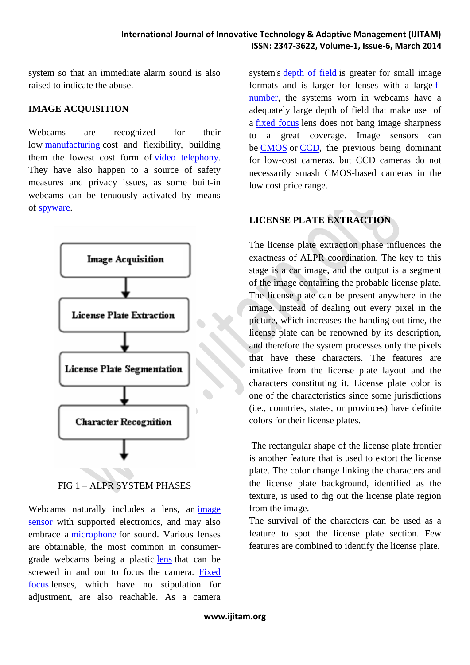system so that an immediate alarm sound is also raised to indicate the abuse.

#### **IMAGE ACQUISITION**

Webcams are recognized for their low [manufacturing](http://en.wikipedia.org/wiki/Manufacturing) cost and flexibility, building them the lowest cost form of [video telephony.](http://en.wikipedia.org/wiki/Videotelephony) They have also happen to a source of safety measures and privacy issues, as some built-in webcams can be tenuously activated by means of [spyware.](http://en.wikipedia.org/wiki/Spyware)



FIG 1 – ALPR SYSTEM PHASES

Webcams naturally includes a lens, an image [sensor](http://en.wikipedia.org/wiki/Image_sensor) with supported electronics, and may also embrace a [microphone](http://en.wikipedia.org/wiki/Microphone) for sound. Various lenses are obtainable, the most common in consumergrade webcams being a plastic [lens](http://en.wikipedia.org/wiki/Lens_(optics)) that can be screwed in and out to focus the camera. [Fixed](http://en.wikipedia.org/wiki/Fixed_focus)  [focus](http://en.wikipedia.org/wiki/Fixed_focus) lenses, which have no stipulation for adjustment, are also reachable. As a camera

system's **depth** of field is greater for small image formats and is larger for lenses with a large [f](http://en.wikipedia.org/wiki/F-number)[number,](http://en.wikipedia.org/wiki/F-number) the systems worn in webcams have a adequately large depth of field that make use of a [fixed focus](http://en.wikipedia.org/wiki/Fixed_focus) lens does not bang image sharpness to a great coverage. Image sensors can be [CMOS](http://en.wikipedia.org/wiki/CMOS) or [CCD,](http://en.wikipedia.org/wiki/Charge-coupled_device) the previous being dominant for low-cost cameras, but CCD cameras do not necessarily smash CMOS-based cameras in the low cost price range.

## **LICENSE PLATE EXTRACTION**

The license plate extraction phase influences the exactness of ALPR coordination. The key to this stage is a car image, and the output is a segment of the image containing the probable license plate. The license plate can be present anywhere in the image. Instead of dealing out every pixel in the picture, which increases the handing out time, the license plate can be renowned by its description, and therefore the system processes only the pixels that have these characters. The features are imitative from the license plate layout and the characters constituting it. License plate color is one of the characteristics since some jurisdictions (i.e., countries, states, or provinces) have definite colors for their license plates.

The rectangular shape of the license plate frontier is another feature that is used to extort the license plate. The color change linking the characters and the license plate background, identified as the texture, is used to dig out the license plate region from the image.

The survival of the characters can be used as a feature to spot the license plate section. Few features are combined to identify the license plate.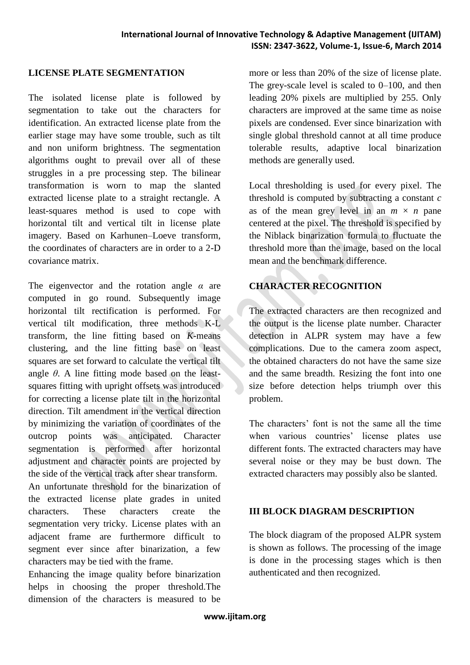#### **LICENSE PLATE SEGMENTATION**

The isolated license plate is followed by segmentation to take out the characters for identification. An extracted license plate from the earlier stage may have some trouble, such as tilt and non uniform brightness. The segmentation algorithms ought to prevail over all of these struggles in a pre processing step. The bilinear transformation is worn to map the slanted extracted license plate to a straight rectangle. A least-squares method is used to cope with horizontal tilt and vertical tilt in license plate imagery. Based on Karhunen–Loeve transform, the coordinates of characters are in order to a 2-D covariance matrix.

The eigenvector and the rotation angle *α* are computed in go round. Subsequently image horizontal tilt rectification is performed. For vertical tilt modification, three methods K-L transform, the line fitting based on *K*-means clustering, and the line fitting base on least squares are set forward to calculate the vertical tilt angle  $\theta$ . A line fitting mode based on the leastsquares fitting with upright offsets was introduced for correcting a license plate tilt in the horizontal direction. Tilt amendment in the vertical direction by minimizing the variation of coordinates of the outcrop points was anticipated. Character segmentation is performed after horizontal adjustment and character points are projected by the side of the vertical track after shear transform. An unfortunate threshold for the binarization of

the extracted license plate grades in united characters. These characters create the segmentation very tricky. License plates with an adjacent frame are furthermore difficult to segment ever since after binarization, a few characters may be tied with the frame.

Enhancing the image quality before binarization helps in choosing the proper threshold.The dimension of the characters is measured to be

more or less than 20% of the size of license plate. The grey-scale level is scaled to 0–100, and then leading 20% pixels are multiplied by 255. Only characters are improved at the same time as noise pixels are condensed. Ever since binarization with single global threshold cannot at all time produce tolerable results, adaptive local binarization methods are generally used.

Local thresholding is used for every pixel. The threshold is computed by subtracting a constant *c*  as of the mean grey level in an  $m \times n$  pane centered at the pixel. The threshold is specified by the Niblack binarization formula to fluctuate the threshold more than the image, based on the local mean and the benchmark difference.

### **CHARACTER RECOGNITION**

The extracted characters are then recognized and the output is the license plate number. Character detection in ALPR system may have a few complications. Due to the camera zoom aspect, the obtained characters do not have the same size and the same breadth. Resizing the font into one size before detection helps triumph over this problem.

The characters' font is not the same all the time when various countries' license plates use different fonts. The extracted characters may have several noise or they may be bust down. The extracted characters may possibly also be slanted.

#### **III BLOCK DIAGRAM DESCRIPTION**

The block diagram of the proposed ALPR system is shown as follows. The processing of the image is done in the processing stages which is then authenticated and then recognized.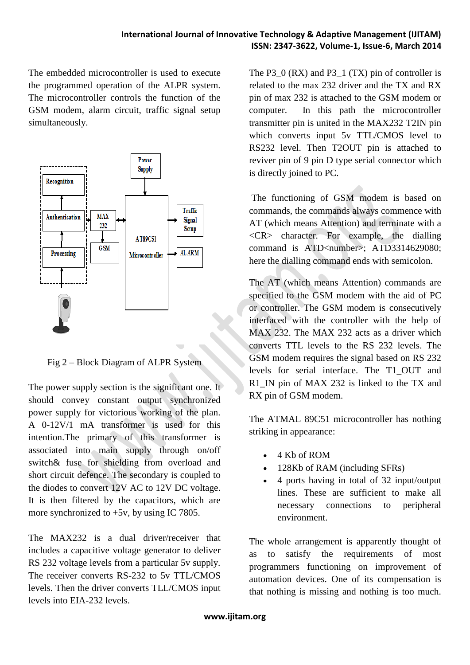The embedded microcontroller is used to execute the programmed operation of the ALPR system. The microcontroller controls the function of the GSM modem, alarm circuit, traffic signal setup simultaneously.



Fig 2 – Block Diagram of ALPR System

The power supply section is the significant one. It should convey constant output synchronized power supply for victorious working of the plan. A 0-12V/1 mA transformer is used for this intention.The primary of this transformer is associated into main supply through on/off switch& fuse for shielding from overload and short circuit defence. The secondary is coupled to the diodes to convert 12V AC to 12V DC voltage. It is then filtered by the capacitors, which are more synchronized to +5v, by using IC 7805.

The MAX232 is a dual driver/receiver that includes a capacitive voltage generator to deliver RS 232 voltage levels from a particular 5v supply. The receiver converts RS-232 to 5v TTL/CMOS levels. Then the driver converts TLL/CMOS input levels into EIA-232 levels.

The  $P3_0$  (RX) and  $P3_1$  (TX) pin of controller is related to the max 232 driver and the TX and RX pin of max 232 is attached to the GSM modem or computer. In this path the microcontroller transmitter pin is united in the MAX232 T2IN pin which converts input 5v TTL/CMOS level to RS232 level. Then T2OUT pin is attached to reviver pin of 9 pin D type serial connector which is directly joined to PC.

The functioning of GSM modem is based on commands, the commands always commence with AT (which means Attention) and terminate with a  $\langle CR \rangle$  character. For example, the dialling command is ATD<number>: ATD3314629080: here the dialling command ends with semicolon.

The AT (which means Attention) commands are specified to the GSM modem with the aid of PC or controller. The GSM modem is consecutively interfaced with the controller with the help of MAX 232. The MAX 232 acts as a driver which converts TTL levels to the RS 232 levels. The GSM modem requires the signal based on RS 232 levels for serial interface. The T1\_OUT and R1\_IN pin of MAX 232 is linked to the TX and RX pin of GSM modem.

The ATMAL 89C51 microcontroller has nothing striking in appearance:

- 4 Kb of ROM
- 128Kb of RAM (including SFRs)
- 4 ports having in total of 32 input/output lines. These are sufficient to make all necessary connections to peripheral environment.

The whole arrangement is apparently thought of as to satisfy the requirements of most programmers functioning on improvement of automation devices. One of its compensation is that nothing is missing and nothing is too much.